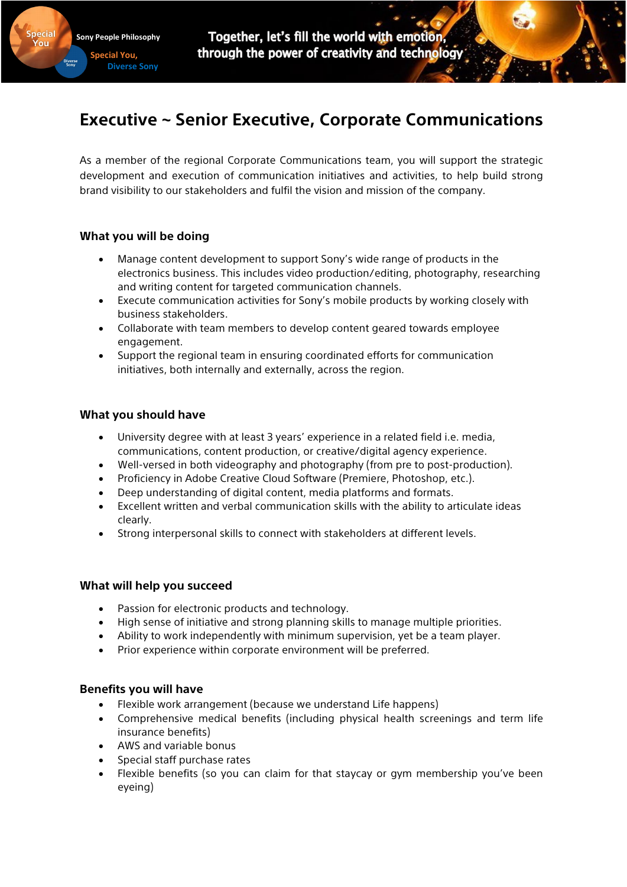Together, let's fill the world with emotion, through the power of creativity and technology

# **Executive ~ Senior Executive, Corporate Communications**

As a member of the regional Corporate Communications team, you will support the strategic development and execution of communication initiatives and activities, to help build strong brand visibility to our stakeholders and fulfil the vision and mission of the company.

# **What you will be doing**

**Sony People Philosophy Special You, Diverse Sony** 

- Manage content development to support Sony's wide range of products in the electronics business. This includes video production/editing, photography, researching and writing content for targeted communication channels.
- Execute communication activities for Sony's mobile products by working closely with business stakeholders.
- Collaborate with team members to develop content geared towards employee engagement.
- Support the regional team in ensuring coordinated efforts for communication initiatives, both internally and externally, across the region.

### **What you should have**

- University degree with at least 3 years' experience in a related field i.e. media, communications, content production, or creative/digital agency experience.
- Well-versed in both videography and photography (from pre to post-production).
- Proficiency in Adobe Creative Cloud Software (Premiere, Photoshop, etc.).
- Deep understanding of digital content, media platforms and formats.
- Excellent written and verbal communication skills with the ability to articulate ideas clearly.
- Strong interpersonal skills to connect with stakeholders at different levels.

#### **What will help you succeed**

- Passion for electronic products and technology.
- High sense of initiative and strong planning skills to manage multiple priorities.
- Ability to work independently with minimum supervision, yet be a team player.
- Prior experience within corporate environment will be preferred.

# **Benefits you will have**

- Flexible work arrangement (because we understand Life happens)
- Comprehensive medical benefits (including physical health screenings and term life insurance benefits)
- AWS and variable bonus
- Special staff purchase rates
- Flexible benefits (so you can claim for that staycay or gym membership you've been eyeing)